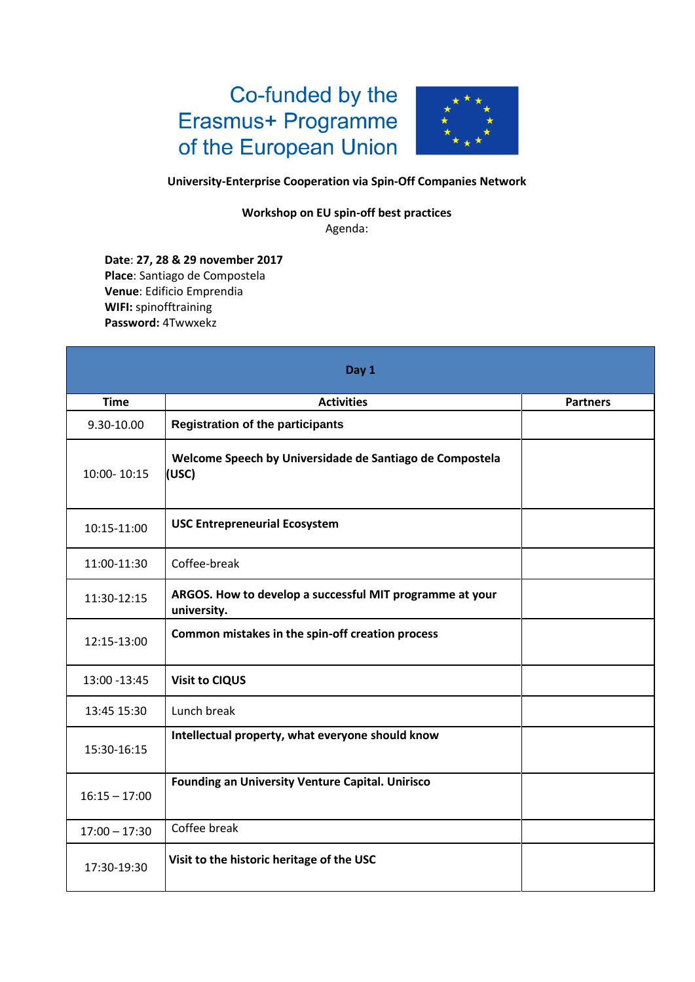## Co-funded by the Erasmus+ Programme of the European Union



## **University-Enterprise Cooperation via Spin-Off Companies Network**

**Workshop on EU spin-off best practices**  Agenda:

**Date**: **27, 28 & 29 november 2017 Place**: Santiago de Compostela **Venue**: Edificio Emprendia **WIFI:** spinofftraining **Password:** 4Twwxekz

|                 | Day 1                                                                   |                 |
|-----------------|-------------------------------------------------------------------------|-----------------|
| <b>Time</b>     | <b>Activities</b>                                                       | <b>Partners</b> |
| 9.30-10.00      | <b>Registration of the participants</b>                                 |                 |
| 10:00-10:15     | Welcome Speech by Universidade de Santiago de Compostela<br>(USC)       |                 |
| 10:15-11:00     | <b>USC Entrepreneurial Ecosystem</b>                                    |                 |
| 11:00-11:30     | Coffee-break                                                            |                 |
| 11:30-12:15     | ARGOS. How to develop a successful MIT programme at your<br>university. |                 |
| 12:15-13:00     | Common mistakes in the spin-off creation process                        |                 |
| 13:00 - 13:45   | <b>Visit to CIQUS</b>                                                   |                 |
| 13:45 15:30     | Lunch break                                                             |                 |
| 15:30-16:15     | Intellectual property, what everyone should know                        |                 |
| $16:15 - 17:00$ | <b>Founding an University Venture Capital. Unirisco</b>                 |                 |
| $17:00 - 17:30$ | Coffee break                                                            |                 |
| 17:30-19:30     | Visit to the historic heritage of the USC                               |                 |